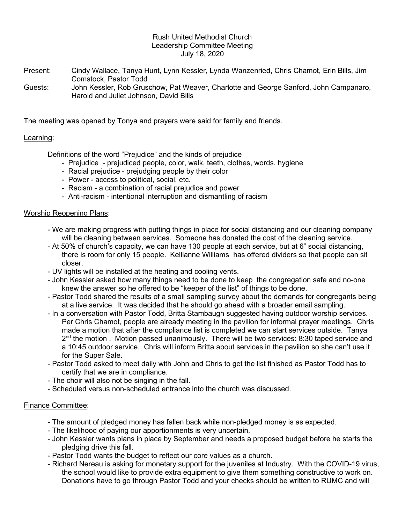### Rush United Methodist Church Leadership Committee Meeting July 18, 2020

- Present: Cindy Wallace, Tanya Hunt, Lynn Kessler, Lynda Wanzenried, Chris Chamot, Erin Bills, Jim Comstock, Pastor Todd
- Guests: John Kessler, Rob Gruschow, Pat Weaver, Charlotte and George Sanford, John Campanaro, Harold and Juliet Johnson, David Bills

The meeting was opened by Tonya and prayers were said for family and friends.

# Learning:

Definitions of the word "Prejudice" and the kinds of prejudice

- Prejudice prejudiced people, color, walk, teeth, clothes, words. hygiene
- Racial prejudice prejudging people by their color
- Power access to political, social, etc.
- Racism a combination of racial prejudice and power
- Anti-racism intentional interruption and dismantling of racism

# Worship Reopening Plans:

- We are making progress with putting things in place for social distancing and our cleaning company will be cleaning between services. Someone has donated the cost of the cleaning service.
- At 50% of church's capacity, we can have 130 people at each service, but at 6" social distancing, there is room for only 15 people. Kellianne Williams has offered dividers so that people can sit closer.
- UV lights will be installed at the heating and cooling vents.
- John Kessler asked how many things need to be done to keep the congregation safe and no-one knew the answer so he offered to be "keeper of the list" of things to be done.
- Pastor Todd shared the results of a small sampling survey about the demands for congregants being at a live service. It was decided that he should go ahead with a broader email sampling.
- In a conversation with Pastor Todd, Britta Stambaugh suggested having outdoor worship services. Per Chris Chamot, people are already meeting in the pavilion for informal prayer meetings. Chris made a motion that after the compliance list is completed we can start services outside. Tanya  $2<sup>nd</sup>$  the motion . Motion passed unanimously. There will be two services: 8:30 taped service and a 10:45 outdoor service. Chris will inform Britta about services in the pavilion so she can't use it for the Super Sale.
- Pastor Todd asked to meet daily with John and Chris to get the list finished as Pastor Todd has to certify that we are in compliance.
- The choir will also not be singing in the fall.
- Scheduled versus non-scheduled entrance into the church was discussed.

# Finance Committee:

- The amount of pledged money has fallen back while non-pledged money is as expected.
- The likelihood of paying our apportionments is very uncertain.
- John Kessler wants plans in place by September and needs a proposed budget before he starts the pledging drive this fall.
- Pastor Todd wants the budget to reflect our core values as a church.
- Richard Nereau is asking for monetary support for the juveniles at Industry. With the COVID-19 virus, the school would like to provide extra equipment to give them something constructive to work on. Donations have to go through Pastor Todd and your checks should be written to RUMC and will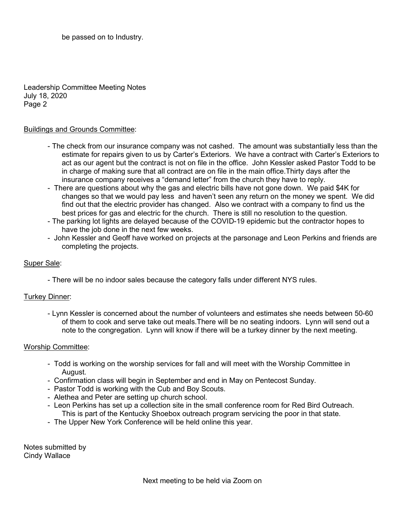be passed on to Industry.

Leadership Committee Meeting Notes July 18, 2020 Page 2

### Buildings and Grounds Committee:

- The check from our insurance company was not cashed. The amount was substantially less than the estimate for repairs given to us by Carter's Exteriors. We have a contract with Carter's Exteriors to act as our agent but the contract is not on file in the office. John Kessler asked Pastor Todd to be in charge of making sure that all contract are on file in the main office.Thirty days after the insurance company receives a "demand letter" from the church they have to reply.
- There are questions about why the gas and electric bills have not gone down. We paid \$4K for changes so that we would pay less and haven't seen any return on the money we spent. We did find out that the electric provider has changed. Also we contract with a company to find us the best prices for gas and electric for the church. There is still no resolution to the question.
- The parking lot lights are delayed because of the COVID-19 epidemic but the contractor hopes to have the job done in the next few weeks.
- John Kessler and Geoff have worked on projects at the parsonage and Leon Perkins and friends are completing the projects.

### Super Sale:

- There will be no indoor sales because the category falls under different NYS rules.

# Turkey Dinner:

 - Lynn Kessler is concerned about the number of volunteers and estimates she needs between 50-60 of them to cook and serve take out meals.There will be no seating indoors. Lynn will send out a note to the congregation. Lynn will know if there will be a turkey dinner by the next meeting.

#### Worship Committee:

- Todd is working on the worship services for fall and will meet with the Worship Committee in August.
- Confirmation class will begin in September and end in May on Pentecost Sunday.
- Pastor Todd is working with the Cub and Boy Scouts.
- Alethea and Peter are setting up church school.
- Leon Perkins has set up a collection site in the small conference room for Red Bird Outreach. This is part of the Kentucky Shoebox outreach program servicing the poor in that state.
- The Upper New York Conference will be held online this year.

Notes submitted by Cindy Wallace